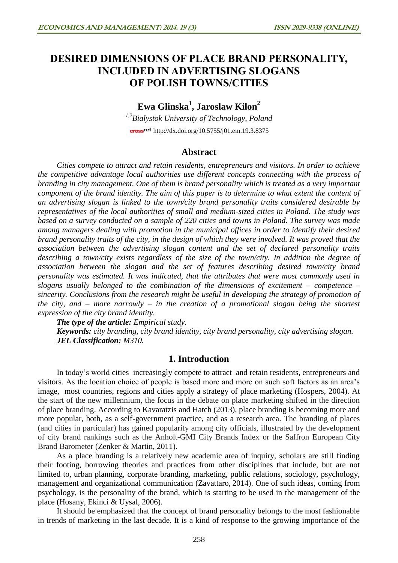# **DESIRED DIMENSIONS OF PLACE BRAND PERSONALITY, INCLUDED IN ADVERTISING SLOGANS OF POLISH TOWNS/CITIES**

# **Ewa Glinska<sup>1</sup> , Jaroslaw Kilon<sup>2</sup>**

*1,2Bialystok University of Technology, Poland* cross<sup>ref</sup> <http://dx.doi.org/10.5755/j01.em.19.3.8375>

## **Abstract**

*Cities compete to attract and retain residents, entrepreneurs and visitors. In order to achieve the competitive advantage local authorities use different concepts connecting with the process of branding in city management. One of them is brand personality which is treated as a very important component of the brand identity. The aim of this paper is to determine to what extent the content of an advertising slogan is linked to the town/city brand personality traits considered desirable by representatives of the local authorities of small and medium-sized cities in Poland. The study was based on a survey conducted on a sample of 220 cities and towns in Poland. The survey was made among managers dealing with promotion in the municipal offices in order to identify their desired brand personality traits of the city, in the design of which they were involved. It was proved that the association between the advertising slogan content and the set of declared personality traits describing a town/city exists regardless of the size of the town/city. In addition the degree of association between the slogan and the set of features describing desired town/city brand personality was estimated. It was indicated, that the attributes that were most commonly used in slogans usually belonged to the combination of the dimensions of excitement – competence – sincerity. Conclusions from the research might be useful in developing the strategy of promotion of the city, and – more narrowly – in the creation of a promotional slogan being the shortest expression of the city brand identity.* 

*The type of the article: Empirical study.*

*Keywords: city branding, city brand identity, city brand personality, city advertising slogan. JEL Classification: M310.*

## **1. Introduction**

In today's world cities increasingly compete to attract and retain residents, entrepreneurs and visitors. As the location choice of people is based more and more on such soft factors as an area's image, most countries, regions and cities apply a strategy of place marketing (Hospers, 2004). At the start of the new millennium, the focus in the debate on place marketing shifted in the direction of place branding. According to Kavaratzis and Hatch (2013), place branding is becoming more and more popular, both, as a self-government practice, and as a research area. The branding of places (and cities in particular) has gained popularity among city officials, illustrated by the development of city brand rankings such as the Anholt-GMI City Brands Index or the Saffron European City Brand Barometer (Zenker & Martin, 2011).

As a place branding is a relatively new academic area of inquiry, scholars are still finding their footing, borrowing theories and practices from other disciplines that include, but are not limited to, urban planning, corporate branding, marketing, public relations, sociology, psychology, management and organizational communication (Zavattaro, 2014). One of such ideas, coming from psychology, is the personality of the brand, which is starting to be used in the management of the place (Hosany, Ekinci & Uysal, 2006).

It should be emphasized that the concept of brand personality belongs to the most fashionable in trends of marketing in the last decade. It is a kind of response to the growing importance of the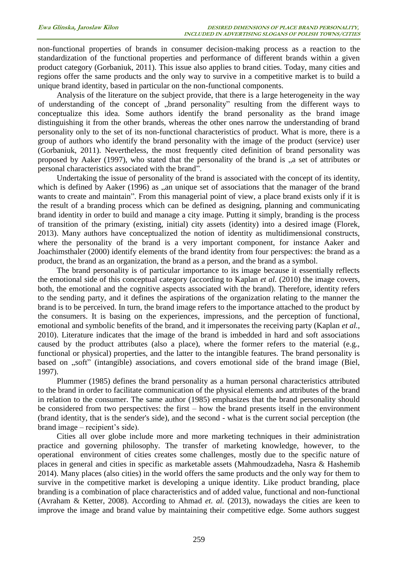non-functional properties of brands in consumer decision-making process as a reaction to the standardization of the functional properties and performance of different brands within a given product category (Gorbaniuk, 2011). This issue also applies to brand cities. Today, many cities and regions offer the same products and the only way to survive in a competitive market is to build a unique brand identity, based in particular on the non-functional components.

Analysis of the literature on the subject provide, that there is a large heterogeneity in the way of understanding of the concept of "brand personality" resulting from the different ways to conceptualize this idea. Some authors identify the brand personality as the brand image distinguishing it from the other brands, whereas the other ones narrow the understanding of brand personality only to the set of its non-functional characteristics of product. What is more, there is a group of authors who identify the brand personality with the image of the product (service) user (Gorbaniuk, 2011). Nevertheless, the most frequently cited definition of brand personality was proposed by Aaker (1997), who stated that the personality of the brand is  $a$ , a set of attributes or personal characteristics associated with the brand".

Undertaking the issue of personality of the brand is associated with the concept of its identity, which is defined by Aaker (1996) as , an unique set of associations that the manager of the brand wants to create and maintain". From this managerial point of view, a place brand exists only if it is the result of a branding process which can be defined as designing, planning and communicating brand identity in order to build and manage a city image. Putting it simply, branding is the process of transition of the primary (existing, initial) city assets (identity) into a desired image (Florek, 2013). Many authors have conceptualized the notion of identity as multidimensional constructs, where the personality of the brand is a very important component, for instance Aaker and Joachimsthaler (2000) identify elements of the brand identity from four perspectives: the brand as a product, the brand as an organization, the brand as a person, and the brand as a symbol.

The brand personality is of particular importance to its image because it essentially reflects the emotional side of this conceptual category (according to Kaplan *et al.* (2010) the image covers, both, the emotional and the cognitive aspects associated with the brand). Therefore, identity refers to the sending party, and it defines the aspirations of the organization relating to the manner the brand is to be perceived. In turn, the brand image refers to the importance attached to the product by the consumers. It is basing on the experiences, impressions, and the perception of functional, emotional and symbolic benefits of the brand, and it impersonates the receiving party (Kaplan *et al.*, 2010). Literature indicates that the image of the brand is imbedded in hard and soft associations caused by the product attributes (also a place), where the former refers to the material (e.g., functional or physical) properties, and the latter to the intangible features. The brand personality is based on "soft" (intangible) associations, and covers emotional side of the brand image (Biel, 1997).

Plummer (1985) defines the brand personality as a human personal characteristics attributed to the brand in order to facilitate communication of the physical elements and attributes of the brand in relation to the consumer. The same author (1985) emphasizes that the brand personality should be considered from two perspectives: the first – how the brand presents itself in the environment (brand identity, that is the sender's side), and the second - what is the current social perception (the brand image – recipient's side).

Cities all over globe include more and more marketing techniques in their administration practice and governing philosophy. The transfer of marketing knowledge, however, to the operational environment of cities creates some challenges, mostly due to the specific nature of places in general and cities in specific as marketable assets (Mahmoudzadeha, Nasra & Hashemib 2014). Many places (also cities) in the world offers the same products and the only way for them to survive in the competitive market is developing a unique identity. Like product branding, place branding is a combination of place characteristics and of added value, functional and non-functional (Avraham & Ketter, 2008). According to Ahmad *et. al.* (2013), nowadays the cities are keen to improve the image and brand value by maintaining their competitive edge. Some authors suggest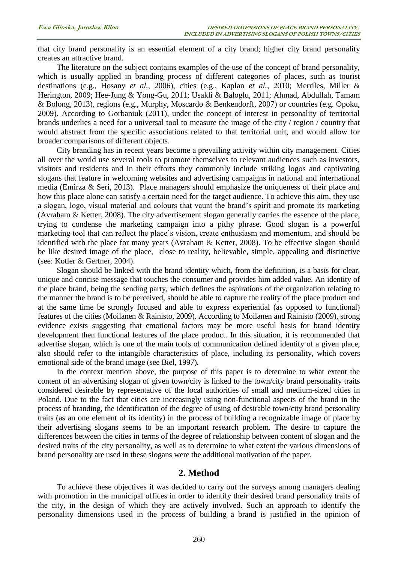that city brand personality is an essential element of a city brand; higher city brand personality creates an attractive brand.

The literature on the subject contains examples of the use of the concept of brand personality, which is usually applied in branding process of different categories of places, such as tourist destinations (e.g., Hosany *et al.*, 2006), cities (e.g., Kaplan *et al.*, 2010; Merriles, Miller & Herington, 2009; Hee-Jung & Yong-Gu, 2011; Usakli & Baloglu, 2011; Ahmad, Abdullah, Tamam & Bolong, 2013), regions (e.g., Murphy, Moscardo & Benkendorff, 2007) or countries (e.g. Opoku, 2009). According to Gorbaniuk (2011), under the concept of interest in personality of territorial brands underlies a need for a universal tool to measure the image of the city / region / country that would abstract from the specific associations related to that territorial unit, and would allow for broader comparisons of different objects.

City branding has in recent years become a prevailing activity within city management. Cities all over the world use several tools to promote themselves to relevant audiences such as investors, visitors and residents and in their efforts they commonly include striking logos and captivating slogans that feature in welcoming websites and advertising campaigns in national and international media (Emirza & Seri, 2013). Place managers should emphasize the uniqueness of their place and how this place alone can satisfy a certain need for the target audience. To achieve this aim, they use a slogan, logo, visual material and colours that vaunt the brand's spirit and promote its marketing (Avraham & Ketter, 2008). The city advertisement slogan generally carries the essence of the place, trying to condense the marketing campaign into a pithy phrase. Good slogan is a powerful marketing tool that can reflect the place's vision, create enthusiasm and momentum, and should be identified with the place for many years (Avraham & Ketter, 2008). To be effective slogan should be like desired image of the place, close to reality, believable, simple, appealing and distinctive (see: Kotler & Gertner, 2004).

Slogan should be linked with the brand identity which, from the definition, is a basis for clear, unique and concise message that touches the consumer and provides him added value. An identity of the place brand, being the sending party, which defines the aspirations of the organization relating to the manner the brand is to be perceived, should be able to capture the reality of the place product and at the same time be strongly focused and able to express experiential (as opposed to functional) features of the cities (Moilanen & Rainisto, 2009). According to Moilanen and Rainisto (2009), strong evidence exists suggesting that emotional factors may be more useful basis for brand identity development then functional features of the place product. In this situation, it is recommended that advertise slogan, which is one of the main tools of communication defined identity of a given place, also should refer to the intangible characteristics of place, including its personality, which covers emotional side of the brand image (see Biel, 1997).

In the context mention above, the purpose of this paper is to determine to what extent the content of an advertising slogan of given town/city is linked to the town/city brand personality traits considered desirable by representative of the local authorities of small and medium-sized cities in Poland. Due to the fact that cities are increasingly using non-functional aspects of the brand in the process of branding, the identification of the degree of using of desirable town/city brand personality traits (as an one element of its identity) in the process of building a recognizable image of place by their advertising slogans seems to be an important research problem. The desire to capture the differences between the cities in terms of the degree of relationship between content of slogan and the desired traits of the city personality, as well as to determine to what extent the various dimensions of brand personality are used in these slogans were the additional motivation of the paper.

## **2. Method**

To achieve these objectives it was decided to carry out the surveys among managers dealing with promotion in the municipal offices in order to identify their desired brand personality traits of the city, in the design of which they are actively involved. Such an approach to identify the personality dimensions used in the process of building a brand is justified in the opinion of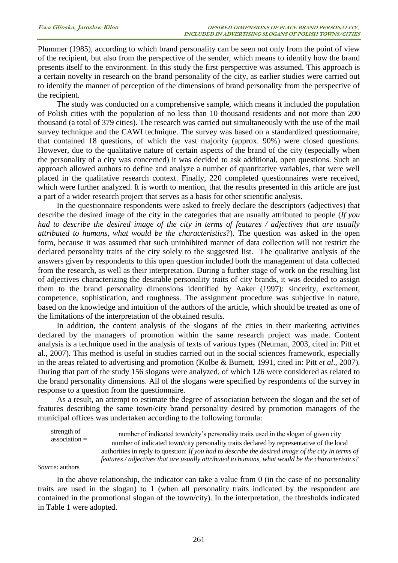Plummer (1985), according to which brand personality can be seen not only from the point of view of the recipient, but also from the perspective of the sender, which means to identify how the brand presents itself to the environment. In this study the first perspective was assumed. This approach is a certain novelty in research on the brand personality of the city, as earlier studies were carried out to identify the manner of perception of the dimensions of brand personality from the perspective of the recipient.

The study was conducted on a comprehensive sample, which means it included the population of Polish cities with the population of no less than 10 thousand residents and not more than 200 thousand (a total of 379 cities). The research was carried out simultaneously with the use of the mail survey technique and the CAWI technique. The survey was based on a standardized questionnaire, that contained 18 questions, of which the vast majority (approx. 90%) were closed questions. However, due to the qualitative nature of certain aspects of the brand of the city (especially when the personality of a city was concerned) it was decided to ask additional, open questions. Such an approach allowed authors to define and analyze a number of quantitative variables, that were well placed in the qualitative research context. Finally, 220 completed questionnaires were received, which were further analyzed. It is worth to mention, that the results presented in this article are just a part of a wider research project that serves as a basis for other scientific analysis.

In the questionnaire respondents were asked to freely declare the descriptors (adjectives) that describe the desired image of the city in the categories that are usually attributed to people (*If you had to describe the desired image of the city in terms of features / adjectives that are usually attributed to humans, what would be the characteristics*?). The question was asked in the open form, because it was assumed that such uninhibited manner of data collection will not restrict the declared personality traits of the city solely to the suggested list. The qualitative analysis of the answers given by respondents to this open question included both the management of data collected from the research, as well as their interpretation. During a further stage of work on the resulting list of adjectives characterizing the desirable personality traits of city brands, it was decided to assign them to the brand personality dimensions identified by Aaker (1997): sincerity, excitement, competence, sophistication, and roughness. The assignment procedure was subjective in nature, based on the knowledge and intuition of the authors of the article, which should be treated as one of the limitations of the interpretation of the obtained results.

In addition, the content analysis of the slogans of the cities in their marketing activities declared by the managers of promotion within the same research project was made. Content analysis is a technique used in the analysis of texts of various types (Neuman, 2003, cited in: Pitt et al., 2007). This method is useful in studies carried out in the social sciences framework, especially in the areas related to advertising and promotion (Kolbe & Burnett, 1991, cited in: Pitt *et al*., 2007). During that part of the study 156 slogans were analyzed, of which 126 were considered as related to the brand personality dimensions. All of the slogans were specified by respondents of the survey in response to a question from the questionnaire.

As a result, an attempt to estimate the degree of association between the slogan and the set of features describing the same town/city brand personality desired by promotion managers of the municipal offices was undertaken according to the following formula:

| strength of     | number of indicated town/city's personality traits used in the slogan of given city                |
|-----------------|----------------------------------------------------------------------------------------------------|
| $association =$ | number of indicated town/city personality traits declared by representative of the local           |
|                 | authorities in reply to question: If you had to describe the desired image of the city in terms of |
|                 | features / adjectives that are usually attributed to humans, what would be the characteristics?    |
| re authors:     |                                                                                                    |

*Source*: authors

In the above relationship, the indicator can take a value from 0 (in the case of no personality traits are used in the slogan) to 1 (when all personality traits indicated by the respondent are contained in the promotional slogan of the town/city). In the interpretation, the thresholds indicated in Table 1 were adopted.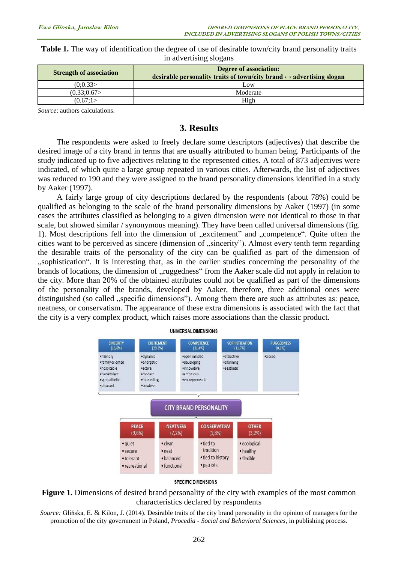**Table 1.** The way of identification the degree of use of desirable town/city brand personality traits in advertising slogans

| <b>Strength of association</b> | <b>Degree of association:</b><br>desirable personality traits of town/city brand $\leftrightarrow$ advertising slogan |
|--------------------------------|-----------------------------------------------------------------------------------------------------------------------|
| (0:0.33)                       | Low                                                                                                                   |
| (0.33;0.67)                    | Moderate                                                                                                              |
| (0.67:1)                       | High                                                                                                                  |

*Source*: authors calculations.

## **3. Results**

The respondents were asked to freely declare some descriptors (adjectives) that describe the desired image of a city brand in terms that are usually attributed to human being. Participants of the study indicated up to five adjectives relating to the represented cities. A total of 873 adjectives were indicated, of which quite a large group repeated in various cities. Afterwards, the list of adjectives was reduced to 190 and they were assigned to the brand personality dimensions identified in a study by Aaker (1997).

A fairly large group of city descriptions declared by the respondents (about 78%) could be qualified as belonging to the scale of the brand personality dimensions by Aaker (1997) (in some cases the attributes classified as belonging to a given dimension were not identical to those in that scale, but showed similar / synonymous meaning). They have been called universal dimensions (fig. 1). Most descriptions fell into the dimension of "excitement" and "competence". Quite often the cities want to be perceived as sincere (dimension of "sincerity"). Almost every tenth term regarding the desirable traits of the personality of the city can be qualified as part of the dimension of "sophistication". It is interesting that, as in the earlier studies concerning the personality of the brands of locations, the dimension of "ruggedness" from the Aaker scale did not apply in relation to the city. More than 20% of the obtained attributes could not be qualified as part of the dimensions of the personality of the brands, developed by Aaker, therefore, three additional ones were distinguished (so called , specific dimensions"). Among them there are such as attributes as: peace, neatness, or conservatism. The appearance of these extra dimensions is associated with the fact that the city is a very complex product, which raises more associations than the classic product.





**Figure 1.** Dimensions of desired brand personality of the city with examples of the most common characteristics declared by respondents

*Source:* Glińska, E. & Kilon, J. (2014). Desirable traits of the city brand personality in the opinion of managers for the promotion of the city government in Poland, *Procedia - Social and Behavioral Sciences*, in publishing process.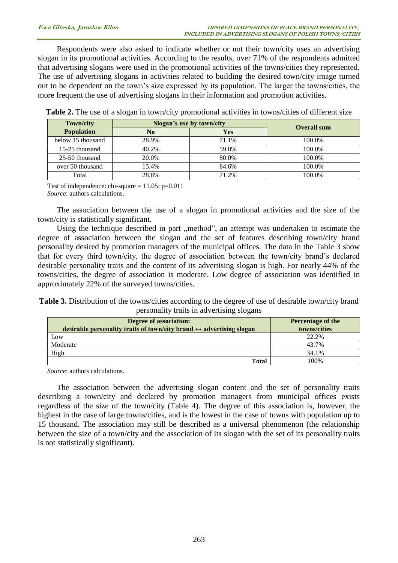Respondents were also asked to indicate whether or not their town/city uses an advertising slogan in its promotional activities. According to the results, over 71% of the respondents admitted that advertising slogans were used in the promotional activities of the towns/cities they represented. The use of advertising slogans in activities related to building the desired town/city image turned out to be dependent on the town's size expressed by its population. The larger the towns/cities, the more frequent the use of advertising slogans in their information and promotion activities.

| <b>Town/city</b>  | Slogan's use by town/city | <b>Overall sum</b> |        |
|-------------------|---------------------------|--------------------|--------|
| <b>Population</b> | N <sub>0</sub>            | <b>Yes</b>         |        |
| below 15 thousand | 28.9%                     | 71.1%              | 100.0% |
| 15-25 thousand    | 40.2%                     | 59.8%              | 100.0% |
| 25-50 thousand    | 20.0%                     | 80.0%              | 100.0% |
| over 50 thousand  | 15.4%                     | 84.6%              | 100.0% |
| Total             | 28.8%                     | 71.2%              | 100.0% |

**Table 2.** The use of a slogan in town/city promotional activities in towns/cities of different size

Test of independence: chi-square  $= 11.05$ ; p=0.011 *Source*: authors calculations.

The association between the use of a slogan in promotional activities and the size of the town/city is statistically significant.

Using the technique described in part "method", an attempt was undertaken to estimate the degree of association between the slogan and the set of features describing town/city brand personality desired by promotion managers of the municipal offices. The data in the Table 3 show that for every third town/city, the degree of association between the town/city brand's declared desirable personality traits and the content of its advertising slogan is high. For nearly 44% of the towns/cities, the degree of association is moderate. Low degree of association was identified in approximately 22% of the surveyed towns/cities.

**Table 3.** Distribution of the towns/cities according to the degree of use of desirable town/city brand personality traits in advertising slogans

| <b>Degree of association:</b><br>desirable personality traits of town/city brand $\leftrightarrow$ advertising slogan | <b>Percentage of the</b><br>towns/cities |
|-----------------------------------------------------------------------------------------------------------------------|------------------------------------------|
| Low                                                                                                                   | 22.2%                                    |
| Moderate                                                                                                              | 43.7%                                    |
| High                                                                                                                  | 34.1%                                    |
| <b>Total</b>                                                                                                          | 100%                                     |

*Source*: authors calculations.

The association between the advertising slogan content and the set of personality traits describing a town/city and declared by promotion managers from municipal offices exists regardless of the size of the town/city (Table 4). The degree of this association is, however, the highest in the case of large towns/cities, and is the lowest in the case of towns with population up to 15 thousand. The association may still be described as a universal phenomenon (the relationship between the size of a town/city and the association of its slogan with the set of its personality traits is not statistically significant).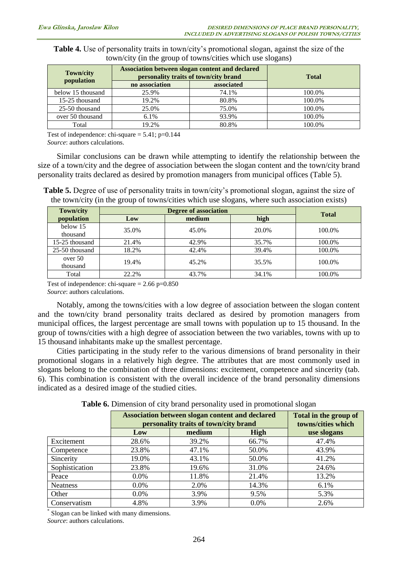| <b>Table 4.</b> Use of personality traits in town/city's promotional slogan, against the size of the |  |
|------------------------------------------------------------------------------------------------------|--|
| town/city (in the group of towns/cities which use slogans)                                           |  |

| <b>Town/city</b>  | Association between slogan content and declared<br>personality traits of town/city brand | <b>Total</b> |        |
|-------------------|------------------------------------------------------------------------------------------|--------------|--------|
| population        | no association                                                                           | associated   |        |
| below 15 thousand | 25.9%                                                                                    | 74.1%        | 100.0% |
| 15-25 thousand    | 19.2%                                                                                    | 80.8%        | 100.0% |
| 25-50 thousand    | 25.0%                                                                                    | 75.0%        | 100.0% |
| over 50 thousand  | 6.1%                                                                                     | 93.9%        | 100.0% |
| Total             | 19.2%                                                                                    | 80.8%        | 100.0% |

Test of independence: chi-square  $= 5.41$ ; p=0.144

*Source*: authors calculations.

Similar conclusions can be drawn while attempting to identify the relationship between the size of a town/city and the degree of association between the slogan content and the town/city brand personality traits declared as desired by promotion managers from municipal offices (Table 5).

**Table 5.** Degree of use of personality traits in town/city's promotional slogan, against the size of the town/city (in the group of towns/cities which use slogans, where such association exists)

| <b>Town/city</b> | <b>Degree of association</b> |        |       | <b>Total</b> |
|------------------|------------------------------|--------|-------|--------------|
| population       | Low                          | medium | high  |              |
| below 15         | 35.0%                        | 45.0%  | 20.0% | 100.0%       |
| thousand         |                              |        |       |              |
| 15-25 thousand   | 21.4%                        | 42.9%  | 35.7% | 100.0%       |
| 25-50 thousand   | 18.2%                        | 42.4%  | 39.4% | 100.0%       |
| over 50          | 19.4%                        | 45.2%  | 35.5% | 100.0%       |
| thousand         |                              |        |       |              |
| Total            | 22.2%                        | 43.7%  | 34.1% | 100.0%       |

Test of independence: chi-square  $= 2.66$  p=0.850

*Source*: authors calculations.

Notably, among the towns/cities with a low degree of association between the slogan content and the town/city brand personality traits declared as desired by promotion managers from municipal offices, the largest percentage are small towns with population up to 15 thousand. In the group of towns/cities with a high degree of association between the two variables, towns with up to 15 thousand inhabitants make up the smallest percentage.

Cities participating in the study refer to the various dimensions of brand personality in their promotional slogans in a relatively high degree. The attributes that are most commonly used in slogans belong to the combination of three dimensions: excitement, competence and sincerity (tab. 6). This combination is consistent with the overall incidence of the brand personality dimensions indicated as a desired image of the studied cities.

|                | Association between slogan content and declared<br>personality traits of town/city brand |        |             | Total in the group of<br>towns/cities which |
|----------------|------------------------------------------------------------------------------------------|--------|-------------|---------------------------------------------|
|                | Low                                                                                      | medium | <b>High</b> | use slogans                                 |
| Excitement     | 28.6%                                                                                    | 39.2%  | 66.7%       | 47.4%                                       |
| Competence     | 23.8%                                                                                    | 47.1%  | 50.0%       | 43.9%                                       |
| Sincerity      | 19.0%                                                                                    | 43.1%  | 50.0%       | 41.2%                                       |
| Sophistication | 23.8%                                                                                    | 19.6%  | 31.0%       | 24.6%                                       |
| Peace          | $0.0\%$                                                                                  | 11.8%  | 21.4%       | 13.2%                                       |
| Neatness       | $0.0\%$                                                                                  | 2.0%   | 14.3%       | 6.1%                                        |
| Other          | $0.0\%$                                                                                  | 3.9%   | 9.5%        | 5.3%                                        |
| Conservatism   | 4.8%                                                                                     | 3.9%   | 0.0%        | 2.6%                                        |

**Table 6.** Dimension of city brand personality used in promotional slogan

\* Slogan can be linked with many dimensions. *Source*: authors calculations.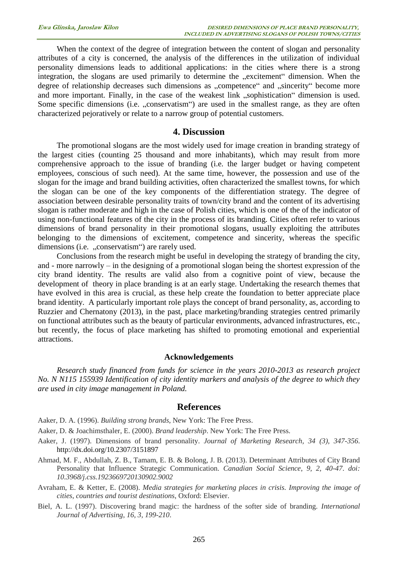When the context of the degree of integration between the content of slogan and personality attributes of a city is concerned, the analysis of the differences in the utilization of individual personality dimensions leads to additional applications: in the cities where there is a strong integration, the slogans are used primarily to determine the "excitement" dimension. When the degree of relationship decreases such dimensions as "competence" and "sincerity" become more and more important. Finally, in the case of the weakest link "sophistication" dimension is used. Some specific dimensions (i.e. "conservatism") are used in the smallest range, as they are often characterized pejoratively or relate to a narrow group of potential customers.

### **4. Discussion**

The promotional slogans are the most widely used for image creation in branding strategy of the largest cities (counting 25 thousand and more inhabitants), which may result from more comprehensive approach to the issue of branding (i.e. the larger budget or having competent employees, conscious of such need). At the same time, however, the possession and use of the slogan for the image and brand building activities, often characterized the smallest towns, for which the slogan can be one of the key components of the differentiation strategy. The degree of association between desirable personality traits of town/city brand and the content of its advertising slogan is rather moderate and high in the case of Polish cities, which is one of the of the indicator of using non-functional features of the city in the process of its branding. Cities often refer to various dimensions of brand personality in their promotional slogans, usually exploiting the attributes belonging to the dimensions of excitement, competence and sincerity, whereas the specific dimensions (i.e. .conservatism") are rarely used.

Conclusions from the research might be useful in developing the strategy of branding the city, and - more narrowly – in the designing of a promotional slogan being the shortest expression of the city brand identity. The results are valid also from a cognitive point of view, because the development of theory in place branding is at an early stage. Undertaking the research themes that have evolved in this area is crucial, as these help create the foundation to better appreciate place brand identity. A particularly important role plays the concept of brand personality, as, according to Ruzzier and Chernatony (2013), in the past, place marketing/branding strategies centred primarily on functional attributes such as the beauty of particular environments, advanced infrastructures, etc., but recently, the focus of place marketing has shifted to promoting emotional and experiential attractions.

#### **Acknowledgements**

*Research study financed from funds for science in the years 2010-2013 as research project No. N N115 155939 Identification of city identity markers and analysis of the degree to which they are used in city image management in Poland.* 

### **References**

Aaker, D. A. (1996). *Building strong brands*, New York: The Free Press.

- Aaker, D. & Joachimsthaler, E. (2000). *Brand leadership*. New York: The Free Press.
- Aaker, J. (1997). Dimensions of brand personality. *Journal of Marketing Research, 34 (3), 347-356*. <http://dx.doi.org/10.2307/3151897>
- Ahmad, M. F., Abdullah, Z. B., Tamam, E. B. & Bolong, J. B. (2013). Determinant Attributes of City Brand Personality that Influence Strategic Communication. *Canadian Social Science*, *9, 2, 40-47*. *doi: 10.3968/j.css.1923669720130902.9002*

Avraham, E. & Ketter, E. (2008). *Media strategies for marketing places in crisis. Improving the image of cities*, *countries and tourist destinations*, Oxford: Elsevier.

Biel, A. L. (1997). Discovering brand magic: the hardness of the softer side of branding. *International Journal of Advertising*, *16, 3, 199-210*.